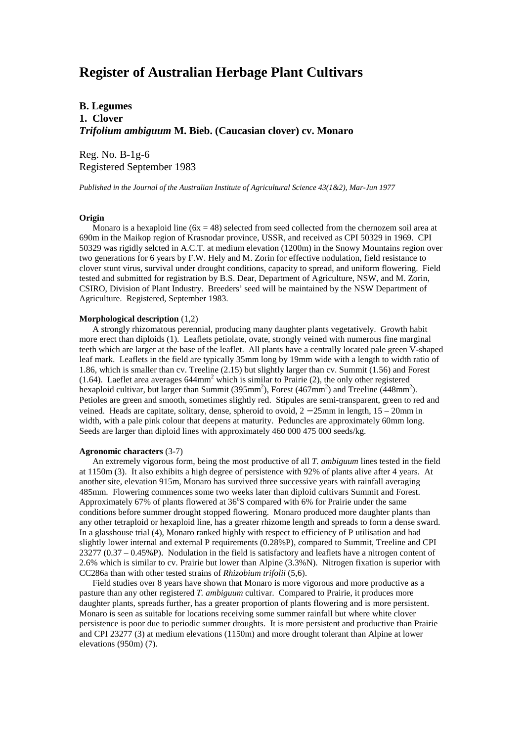# **Register of Australian Herbage Plant Cultivars**

# **B. Legumes 1. Clover** *Trifolium ambiguum* **M. Bieb. (Caucasian clover) cv. Monaro**

Reg. No. B-1g-6 Registered September 1983

*Published in the Journal of the Australian Institute of Agricultural Science 43(1&2), Mar-Jun 1977*

## **Origin**

Monaro is a hexaploid line  $(6x = 48)$  selected from seed collected from the chernozem soil area at 690m in the Maikop region of Krasnodar province, USSR, and received as CPI 50329 in 1969. CPI 50329 was rigidly selcted in A.C.T. at medium elevation (1200m) in the Snowy Mountains region over two generations for 6 years by F.W. Hely and M. Zorin for effective nodulation, field resistance to clover stunt virus, survival under drought conditions, capacity to spread, and uniform flowering. Field tested and submitted for registration by B.S. Dear, Department of Agriculture, NSW, and M. Zorin, CSIRO, Division of Plant Industry. Breeders' seed will be maintained by the NSW Department of Agriculture. Registered, September 1983.

#### **Morphological description** (1,2)

 A strongly rhizomatous perennial, producing many daughter plants vegetatively. Growth habit more erect than diploids (1). Leaflets petiolate, ovate, strongly veined with numerous fine marginal teeth which are larger at the base of the leaflet. All plants have a centrally located pale green V-shaped leaf mark. Leaflets in the field are typically 35mm long by 19mm wide with a length to width ratio of 1.86, which is smaller than cv. Treeline (2.15) but slightly larger than cv. Summit (1.56) and Forest (1.64). Laeflet area averages  $644$ mm<sup>2</sup> which is similar to Prairie (2), the only other registered hexaploid cultivar, but larger than Summit (395mm<sup>2</sup>), Forest (467mm<sup>2</sup>) and Treeline (448mm<sup>2</sup>). Petioles are green and smooth, sometimes slightly red. Stipules are semi-transparent, green to red and veined. Heads are capitate, solitary, dense, spheroid to ovoid, 2 − 25mm in length, 15 – 20mm in width, with a pale pink colour that deepens at maturity. Peduncles are approximately 60mm long. Seeds are larger than diploid lines with approximately 460 000 475 000 seeds/kg.

### **Agronomic characters** (3-7)

 An extremely vigorous form, being the most productive of all *T. ambiguum* lines tested in the field at 1150m (3). It also exhibits a high degree of persistence with 92% of plants alive after 4 years. At another site, elevation 915m, Monaro has survived three successive years with rainfall averaging 485mm. Flowering commences some two weeks later than diploid cultivars Summit and Forest. Approximately 67% of plants flowered at  $36^{\circ}$ S compared with 6% for Prairie under the same conditions before summer drought stopped flowering. Monaro produced more daughter plants than any other tetraploid or hexaploid line, has a greater rhizome length and spreads to form a dense sward. In a glasshouse trial (4), Monaro ranked highly with respect to efficiency of P utilisation and had slightly lower internal and external P requirements (0.28%P), compared to Summit, Treeline and CPI 23277 (0.37 – 0.45%P). Nodulation in the field is satisfactory and leaflets have a nitrogen content of 2.6% which is similar to cv. Prairie but lower than Alpine (3.3%N). Nitrogen fixation is superior with CC286a than with other tested strains of *Rhizobium trifolii* (5,6).

 Field studies over 8 years have shown that Monaro is more vigorous and more productive as a pasture than any other registered *T. ambiguum* cultivar. Compared to Prairie, it produces more daughter plants, spreads further, has a greater proportion of plants flowering and is more persistent. Monaro is seen as suitable for locations receiving some summer rainfall but where white clover persistence is poor due to periodic summer droughts. It is more persistent and productive than Prairie and CPI 23277 (3) at medium elevations (1150m) and more drought tolerant than Alpine at lower elevations (950m) (7).